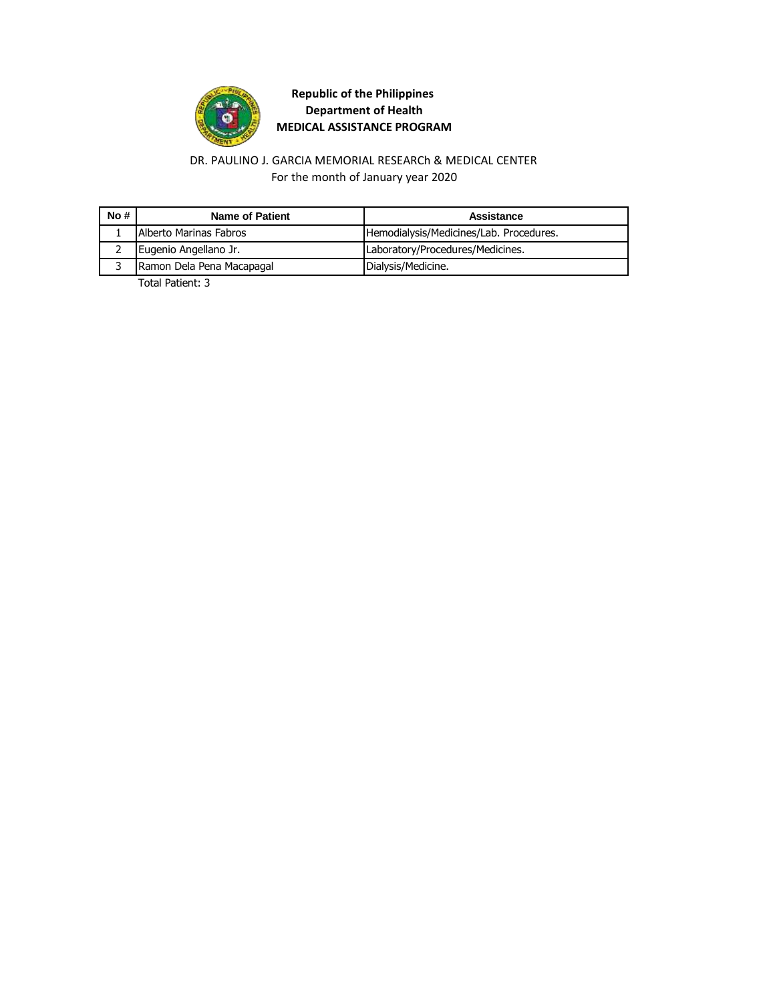

#### DR. PAULINO J. GARCIA MEMORIAL RESEARCh & MEDICAL CENTER For the month of January year 2020

| No# | Name of Patient           | Assistance                              |
|-----|---------------------------|-----------------------------------------|
|     | Alberto Marinas Fabros    | Hemodialysis/Medicines/Lab. Procedures. |
|     | Eugenio Angellano Jr.     | Laboratory/Procedures/Medicines.        |
|     | Ramon Dela Pena Macapagal | Dialysis/Medicine.                      |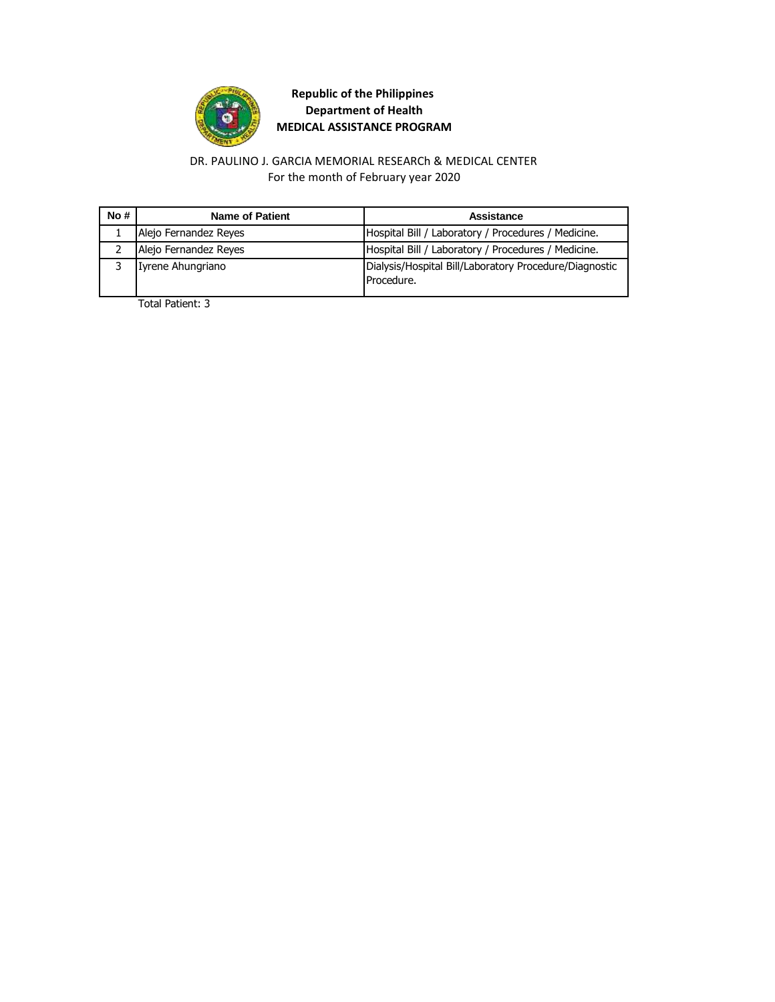

#### DR. PAULINO J. GARCIA MEMORIAL RESEARCh & MEDICAL CENTER For the month of February year 2020

| No # | Name of Patient       | Assistance                                                           |
|------|-----------------------|----------------------------------------------------------------------|
|      | Alejo Fernandez Reyes | Hospital Bill / Laboratory / Procedures / Medicine.                  |
|      | Alejo Fernandez Reyes | Hospital Bill / Laboratory / Procedures / Medicine.                  |
|      | Iyrene Ahungriano     | Dialysis/Hospital Bill/Laboratory Procedure/Diagnostic<br>Procedure. |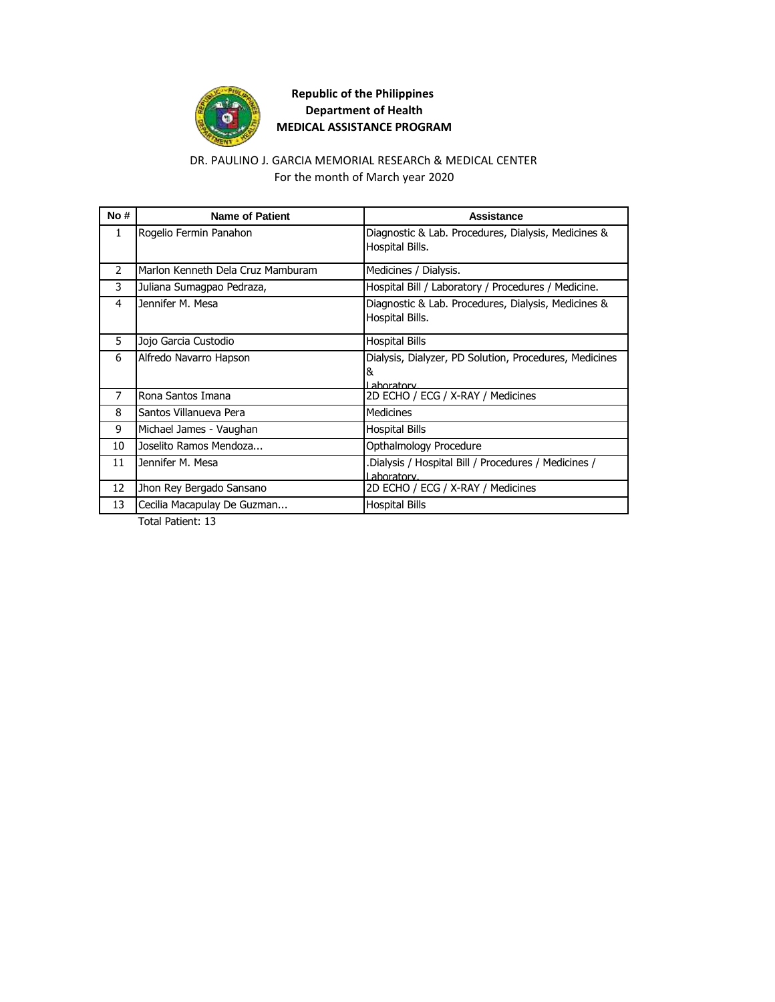

#### DR. PAULINO J. GARCIA MEMORIAL RESEARCh & MEDICAL CENTER For the month of March year 2020

| No# | <b>Name of Patient</b>            | Assistance                                                                 |
|-----|-----------------------------------|----------------------------------------------------------------------------|
| 1   | Rogelio Fermin Panahon            | Diagnostic & Lab. Procedures, Dialysis, Medicines &<br>Hospital Bills.     |
| 2   | Marlon Kenneth Dela Cruz Mamburam | Medicines / Dialysis.                                                      |
| 3   | Juliana Sumagpao Pedraza,         | Hospital Bill / Laboratory / Procedures / Medicine.                        |
| 4   | Jennifer M. Mesa                  | Diagnostic & Lab. Procedures, Dialysis, Medicines &<br>Hospital Bills.     |
| 5   | Jojo Garcia Custodio              | Hospital Bills                                                             |
| 6   | Alfredo Navarro Hapson            | Dialysis, Dialyzer, PD Solution, Procedures, Medicines<br>&<br>I aboratory |
| 7   | Rona Santos Imana                 | 2D ECHO / ECG / X-RAY / Medicines                                          |
| 8   | Santos Villanueva Pera            | <b>Medicines</b>                                                           |
| 9   | Michael James - Vaughan           | <b>Hospital Bills</b>                                                      |
| 10  | Joselito Ramos Mendoza            | Opthalmology Procedure                                                     |
| 11  | Jennifer M. Mesa                  | Dialysis / Hospital Bill / Procedures / Medicines /<br>I aboratory.        |
| 12  | Jhon Rey Bergado Sansano          | 2D ECHO / ECG / X-RAY / Medicines                                          |
| 13  | Cecilia Macapulay De Guzman       | <b>Hospital Bills</b>                                                      |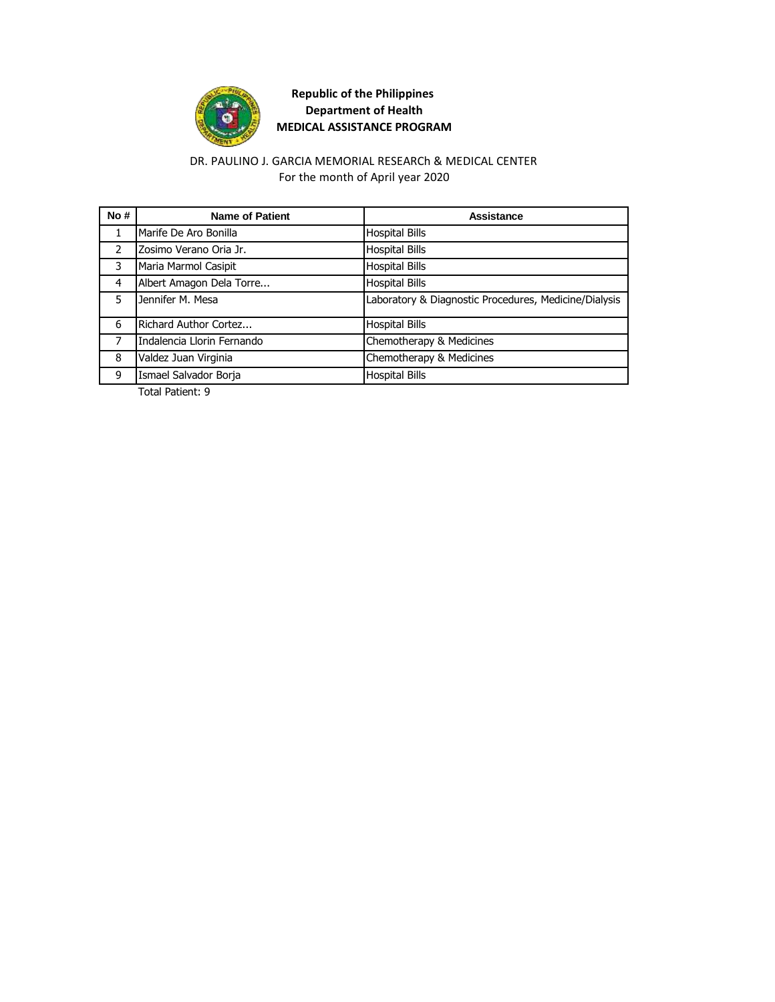

### For the month of April year 2020 DR. PAULINO J. GARCIA MEMORIAL RESEARCh & MEDICAL CENTER

| No#           | <b>Name of Patient</b>     | Assistance                                            |
|---------------|----------------------------|-------------------------------------------------------|
| 1             | Marife De Aro Bonilla      | <b>Hospital Bills</b>                                 |
| $\mathcal{P}$ | Zosimo Verano Oria Jr.     | <b>Hospital Bills</b>                                 |
| 3             | Maria Marmol Casipit       | <b>Hospital Bills</b>                                 |
| 4             | Albert Amagon Dela Torre   | <b>Hospital Bills</b>                                 |
| 5             | Jennifer M. Mesa           | Laboratory & Diagnostic Procedures, Medicine/Dialysis |
| 6             | Richard Author Cortez      | <b>Hospital Bills</b>                                 |
| 7             | Indalencia Llorin Fernando | Chemotherapy & Medicines                              |
| 8             | Valdez Juan Virginia       | Chemotherapy & Medicines                              |
| 9             | Ismael Salvador Borja      | <b>Hospital Bills</b>                                 |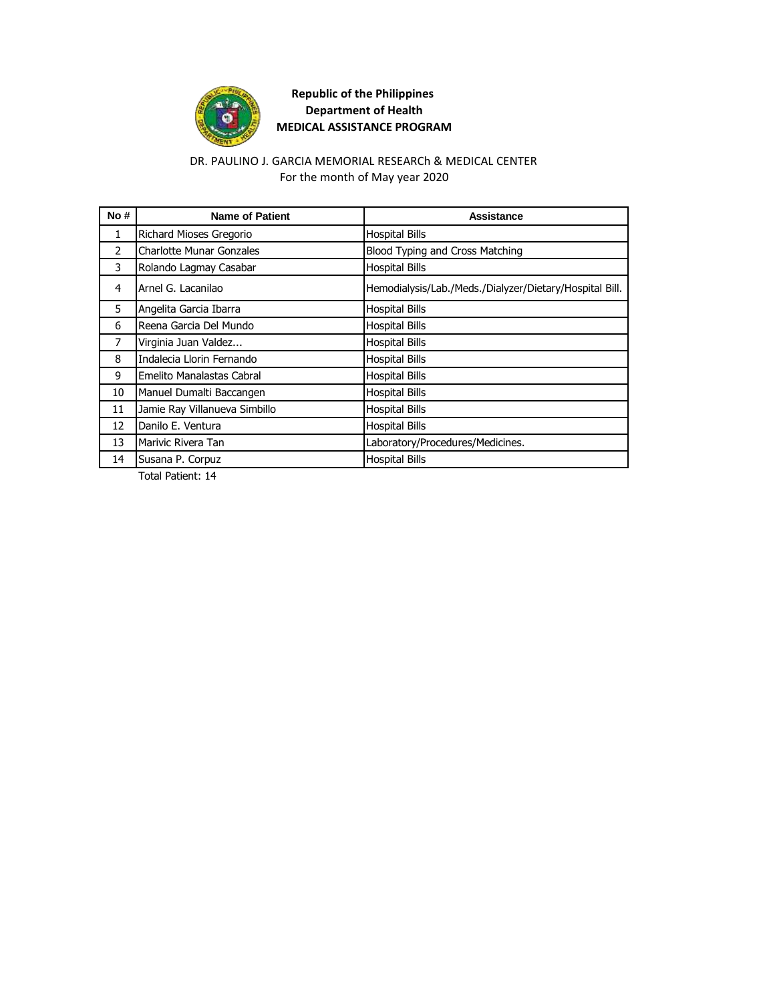

### For the month of May year 2020 DR. PAULINO J. GARCIA MEMORIAL RESEARCh & MEDICAL CENTER

| No#           | <b>Name of Patient</b>          | Assistance                                              |
|---------------|---------------------------------|---------------------------------------------------------|
| 1             | Richard Mioses Gregorio         | <b>Hospital Bills</b>                                   |
| $\mathcal{P}$ | <b>Charlotte Munar Gonzales</b> | Blood Typing and Cross Matching                         |
| 3             | Rolando Lagmay Casabar          | <b>Hospital Bills</b>                                   |
| 4             | Arnel G. Lacanilao              | Hemodialysis/Lab./Meds./Dialyzer/Dietary/Hospital Bill. |
| 5             | Angelita Garcia Ibarra          | <b>Hospital Bills</b>                                   |
| 6             | Reena Garcia Del Mundo          | <b>Hospital Bills</b>                                   |
| 7             | Virginia Juan Valdez            | <b>Hospital Bills</b>                                   |
| 8             | Indalecia Llorin Fernando       | <b>Hospital Bills</b>                                   |
| 9             | Emelito Manalastas Cabral       | <b>Hospital Bills</b>                                   |
| 10            | Manuel Dumalti Baccangen        | <b>Hospital Bills</b>                                   |
| 11            | Jamie Ray Villanueva Simbillo   | <b>Hospital Bills</b>                                   |
| 12            | Danilo E. Ventura               | <b>Hospital Bills</b>                                   |
| 13            | Marivic Rivera Tan              | Laboratory/Procedures/Medicines.                        |
| 14            | Susana P. Corpuz                | <b>Hospital Bills</b>                                   |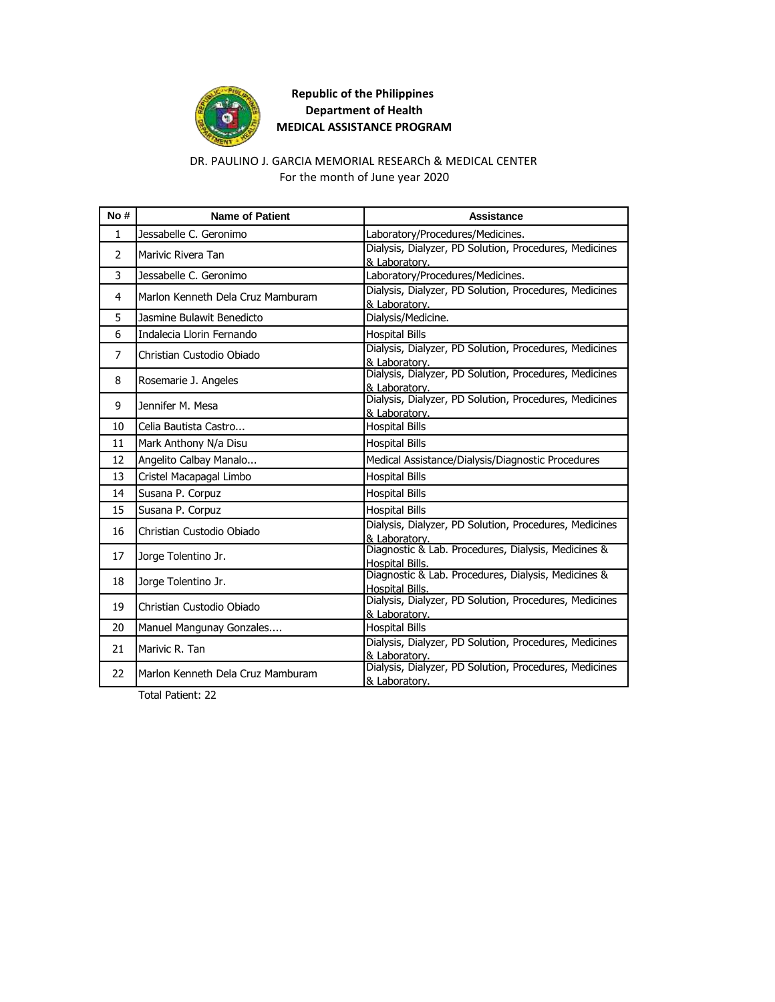

### DR. PAULINO J. GARCIA MEMORIAL RESEARCh & MEDICAL CENTER For the month of June year 2020

| No #           | <b>Name of Patient</b>            | Assistance                                                              |
|----------------|-----------------------------------|-------------------------------------------------------------------------|
| 1              | Jessabelle C. Geronimo            | Laboratory/Procedures/Medicines.                                        |
| 2              | Marivic Rivera Tan                | Dialysis, Dialyzer, PD Solution, Procedures, Medicines<br>& Laboratory. |
| 3              | Jessabelle C. Geronimo            | Laboratory/Procedures/Medicines.                                        |
| 4              | Marlon Kenneth Dela Cruz Mamburam | Dialysis, Dialyzer, PD Solution, Procedures, Medicines<br>& Laboratory. |
| 5              | Jasmine Bulawit Benedicto         | Dialysis/Medicine.                                                      |
| 6              | Indalecia Llorin Fernando         | <b>Hospital Bills</b>                                                   |
| $\overline{7}$ | Christian Custodio Obiado         | Dialysis, Dialyzer, PD Solution, Procedures, Medicines<br>& Laboratory. |
| 8              | Rosemarie J. Angeles              | Dialysis, Dialyzer, PD Solution, Procedures, Medicines<br>& Laboratory. |
| 9              | Jennifer M. Mesa                  | Dialysis, Dialyzer, PD Solution, Procedures, Medicines<br>& Laboratory. |
| 10             | Celia Bautista Castro             | <b>Hospital Bills</b>                                                   |
| 11             | Mark Anthony N/a Disu             | <b>Hospital Bills</b>                                                   |
| 12             | Angelito Calbay Manalo            | Medical Assistance/Dialysis/Diagnostic Procedures                       |
| 13             | Cristel Macapagal Limbo           | <b>Hospital Bills</b>                                                   |
| 14             | Susana P. Corpuz                  | <b>Hospital Bills</b>                                                   |
| 15             | Susana P. Corpuz                  | <b>Hospital Bills</b>                                                   |
| 16             | Christian Custodio Obiado         | Dialysis, Dialyzer, PD Solution, Procedures, Medicines<br>& Laboratory. |
| 17             | Jorge Tolentino Jr.               | Diagnostic & Lab. Procedures, Dialysis, Medicines &<br>Hospital Bills.  |
| 18             | Jorge Tolentino Jr.               | Diagnostic & Lab. Procedures, Dialysis, Medicines &<br>Hospital Bills.  |
| 19             | Christian Custodio Obiado         | Dialysis, Dialyzer, PD Solution, Procedures, Medicines<br>& Laboratory. |
| 20             | Manuel Mangunay Gonzales          | <b>Hospital Bills</b>                                                   |
| 21             | Marivic R. Tan                    | Dialysis, Dialyzer, PD Solution, Procedures, Medicines<br>& Laboratory. |
| 22             | Marlon Kenneth Dela Cruz Mamburam | Dialysis, Dialyzer, PD Solution, Procedures, Medicines<br>& Laboratory. |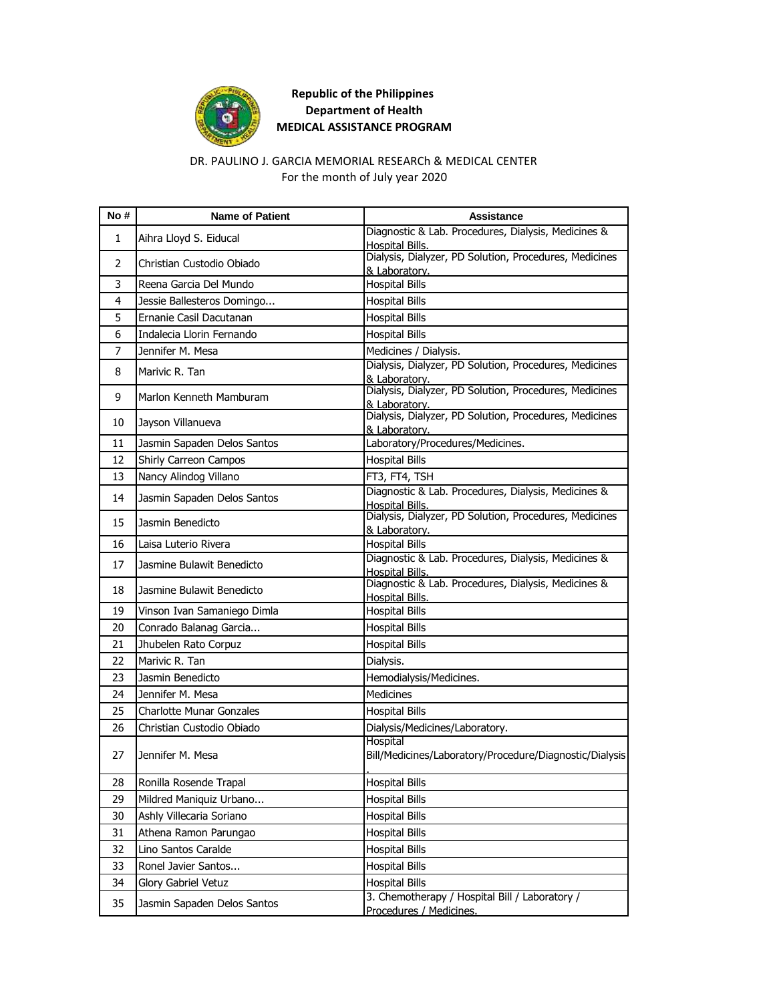

#### DR. PAULINO J. GARCIA MEMORIAL RESEARCh & MEDICAL CENTER For the month of July year 2020

| No# | <b>Name of Patient</b>          | <b>Assistance</b>                                                                        |
|-----|---------------------------------|------------------------------------------------------------------------------------------|
| 1   | Aihra Lloyd S. Eiducal          | Diagnostic & Lab. Procedures, Dialysis, Medicines &                                      |
|     |                                 | Hospital Bills.<br>Dialysis, Dialyzer, PD Solution, Procedures, Medicines                |
| 2   | Christian Custodio Obiado       | & Laboratory.                                                                            |
| 3   | Reena Garcia Del Mundo          | <b>Hospital Bills</b>                                                                    |
| 4   | Jessie Ballesteros Domingo      | <b>Hospital Bills</b>                                                                    |
| 5   | Ernanie Casil Dacutanan         | <b>Hospital Bills</b>                                                                    |
| 6   | Indalecia Llorin Fernando       | <b>Hospital Bills</b>                                                                    |
| 7   | Jennifer M. Mesa                | Medicines / Dialysis.                                                                    |
| 8   | Marivic R. Tan                  | Dialysis, Dialyzer, PD Solution, Procedures, Medicines                                   |
| 9   | Marlon Kenneth Mamburam         | & Laboratory.<br>Dialysis, Dialyzer, PD Solution, Procedures, Medicines<br>& Laboratory. |
| 10  | Jayson Villanueva               | Dialysis, Dialyzer, PD Solution, Procedures, Medicines<br>& Laboratory.                  |
| 11  | Jasmin Sapaden Delos Santos     | Laboratory/Procedures/Medicines.                                                         |
| 12  | Shirly Carreon Campos           | <b>Hospital Bills</b>                                                                    |
| 13  | Nancy Alindog Villano           | FT3, FT4, TSH                                                                            |
| 14  | Jasmin Sapaden Delos Santos     | Diagnostic & Lab. Procedures, Dialysis, Medicines &<br>Hospital Bills.                   |
| 15  | Jasmin Benedicto                | Dialysis, Dialyzer, PD Solution, Procedures, Medicines<br>& Laboratory.                  |
| 16  | Laisa Luterio Rivera            | <b>Hospital Bills</b>                                                                    |
| 17  | Jasmine Bulawit Benedicto       | Diagnostic & Lab. Procedures, Dialysis, Medicines &                                      |
| 18  | Jasmine Bulawit Benedicto       | <b>Hospital Bills.</b><br>Diagnostic & Lab. Procedures, Dialysis, Medicines &            |
| 19  | Vinson Ivan Samaniego Dimla     | Hospital Bills.<br><b>Hospital Bills</b>                                                 |
| 20  | Conrado Balanag Garcia          | <b>Hospital Bills</b>                                                                    |
| 21  | Jhubelen Rato Corpuz            | <b>Hospital Bills</b>                                                                    |
| 22  | Marivic R. Tan                  | Dialysis.                                                                                |
| 23  | Jasmin Benedicto                | Hemodialysis/Medicines.                                                                  |
| 24  | Jennifer M. Mesa                | <b>Medicines</b>                                                                         |
| 25  | <b>Charlotte Munar Gonzales</b> | <b>Hospital Bills</b>                                                                    |
|     |                                 |                                                                                          |
| 26  | Christian Custodio Obiado       | Dialysis/Medicines/Laboratory.<br>Hospital                                               |
| 27  | Jennifer M. Mesa                | Bill/Medicines/Laboratory/Procedure/Diagnostic/Dialysis                                  |
| 28  | Ronilla Rosende Trapal          | <b>Hospital Bills</b>                                                                    |
| 29  | Mildred Maniquiz Urbano         | <b>Hospital Bills</b>                                                                    |
| 30  | Ashly Villecaria Soriano        | <b>Hospital Bills</b>                                                                    |
| 31  | Athena Ramon Parungao           | <b>Hospital Bills</b>                                                                    |
| 32  | Lino Santos Caralde             | <b>Hospital Bills</b>                                                                    |
| 33  | Ronel Javier Santos             | <b>Hospital Bills</b>                                                                    |
| 34  | Glory Gabriel Vetuz             | <b>Hospital Bills</b>                                                                    |
| 35  | Jasmin Sapaden Delos Santos     | 3. Chemotherapy / Hospital Bill / Laboratory /<br>Procedures / Medicines.                |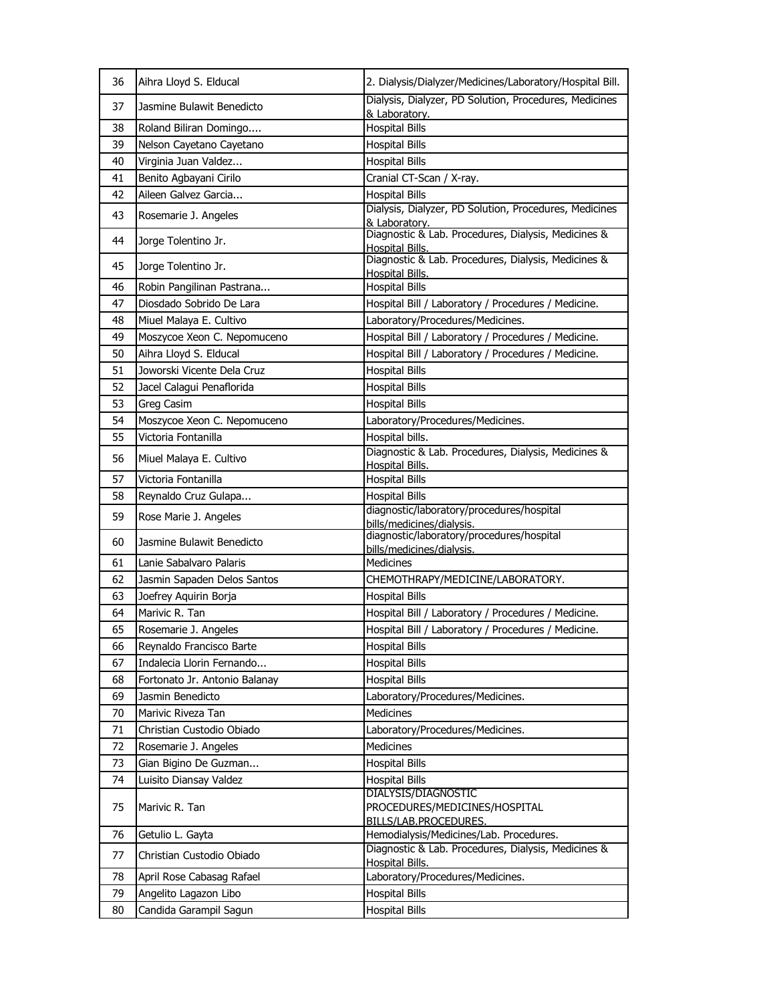| 36 | Aihra Lloyd S. Elducal        | 2. Dialysis/Dialyzer/Medicines/Laboratory/Hospital Bill.                             |
|----|-------------------------------|--------------------------------------------------------------------------------------|
| 37 | Jasmine Bulawit Benedicto     | Dialysis, Dialyzer, PD Solution, Procedures, Medicines<br>& Laboratory.              |
| 38 | Roland Biliran Domingo        | <b>Hospital Bills</b>                                                                |
| 39 | Nelson Cayetano Cayetano      | <b>Hospital Bills</b>                                                                |
| 40 | Virginia Juan Valdez          | <b>Hospital Bills</b>                                                                |
| 41 | Benito Agbayani Cirilo        | Cranial CT-Scan / X-ray.                                                             |
| 42 | Aileen Galvez Garcia          | <b>Hospital Bills</b>                                                                |
| 43 | Rosemarie J. Angeles          | Dialysis, Dialyzer, PD Solution, Procedures, Medicines<br>& Laboratory.              |
| 44 | Jorge Tolentino Jr.           | Diagnostic & Lab. Procedures, Dialysis, Medicines &<br>Hospital Bills.               |
| 45 | Jorge Tolentino Jr.           | Diagnostic & Lab. Procedures, Dialysis, Medicines &<br>Hospital Bills.               |
| 46 | Robin Pangilinan Pastrana     | <b>Hospital Bills</b>                                                                |
| 47 | Diosdado Sobrido De Lara      | Hospital Bill / Laboratory / Procedures / Medicine.                                  |
| 48 | Miuel Malaya E. Cultivo       | Laboratory/Procedures/Medicines.                                                     |
| 49 | Moszycoe Xeon C. Nepomuceno   | Hospital Bill / Laboratory / Procedures / Medicine.                                  |
| 50 | Aihra Lloyd S. Elducal        | Hospital Bill / Laboratory / Procedures / Medicine.                                  |
| 51 | Joworski Vicente Dela Cruz    | <b>Hospital Bills</b>                                                                |
| 52 | Jacel Calagui Penaflorida     | <b>Hospital Bills</b>                                                                |
| 53 | Greg Casim                    | <b>Hospital Bills</b>                                                                |
| 54 | Moszycoe Xeon C. Nepomuceno   | Laboratory/Procedures/Medicines.                                                     |
| 55 | Victoria Fontanilla           | Hospital bills.                                                                      |
| 56 | Miuel Malaya E. Cultivo       | Diagnostic & Lab. Procedures, Dialysis, Medicines &<br><b>Hospital Bills.</b>        |
| 57 | Victoria Fontanilla           | <b>Hospital Bills</b>                                                                |
| 58 | Reynaldo Cruz Gulapa          | <b>Hospital Bills</b>                                                                |
| 59 | Rose Marie J. Angeles         | diagnostic/laboratory/procedures/hospital<br>bills/medicines/dialysis.               |
| 60 | Jasmine Bulawit Benedicto     | diagnostic/laboratory/procedures/hospital<br>bills/medicines/dialysis.               |
| 61 | Lanie Sabalvaro Palaris       | <b>Medicines</b>                                                                     |
| 62 | Jasmin Sapaden Delos Santos   | CHEMOTHRAPY/MEDICINE/LABORATORY.                                                     |
| 63 | Joefrey Aquirin Borja         | <b>Hospital Bills</b>                                                                |
| 64 | Marivic R. Tan                | Hospital Bill / Laboratory / Procedures / Medicine.                                  |
| 65 | Rosemarie J. Angeles          | Hospital Bill / Laboratory / Procedures / Medicine.                                  |
| 66 | Reynaldo Francisco Barte      | <b>Hospital Bills</b>                                                                |
| 67 | Indalecia Llorin Fernando     | <b>Hospital Bills</b>                                                                |
| 68 | Fortonato Jr. Antonio Balanay | <b>Hospital Bills</b>                                                                |
| 69 | Jasmin Benedicto              | Laboratory/Procedures/Medicines.                                                     |
| 70 | Marivic Riveza Tan            | <b>Medicines</b>                                                                     |
| 71 | Christian Custodio Obiado     | Laboratory/Procedures/Medicines.                                                     |
| 72 | Rosemarie J. Angeles          | <b>Medicines</b>                                                                     |
| 73 | Gian Bigino De Guzman         | <b>Hospital Bills</b>                                                                |
| 74 | Luisito Diansay Valdez        | <b>Hospital Bills</b>                                                                |
| 75 | Marivic R. Tan                | <b>DIALYSIS/DIAGNOSTIC</b><br>PROCEDURES/MEDICINES/HOSPITAL<br>BILLS/LAB.PROCEDURES. |
| 76 | Getulio L. Gayta              | Hemodialysis/Medicines/Lab. Procedures.                                              |
|    |                               | Diagnostic & Lab. Procedures, Dialysis, Medicines &                                  |
| 77 | Christian Custodio Obiado     | Hospital Bills.                                                                      |
| 78 | April Rose Cabasag Rafael     | Laboratory/Procedures/Medicines.                                                     |
| 79 | Angelito Lagazon Libo         | <b>Hospital Bills</b>                                                                |
| 80 | Candida Garampil Sagun        | <b>Hospital Bills</b>                                                                |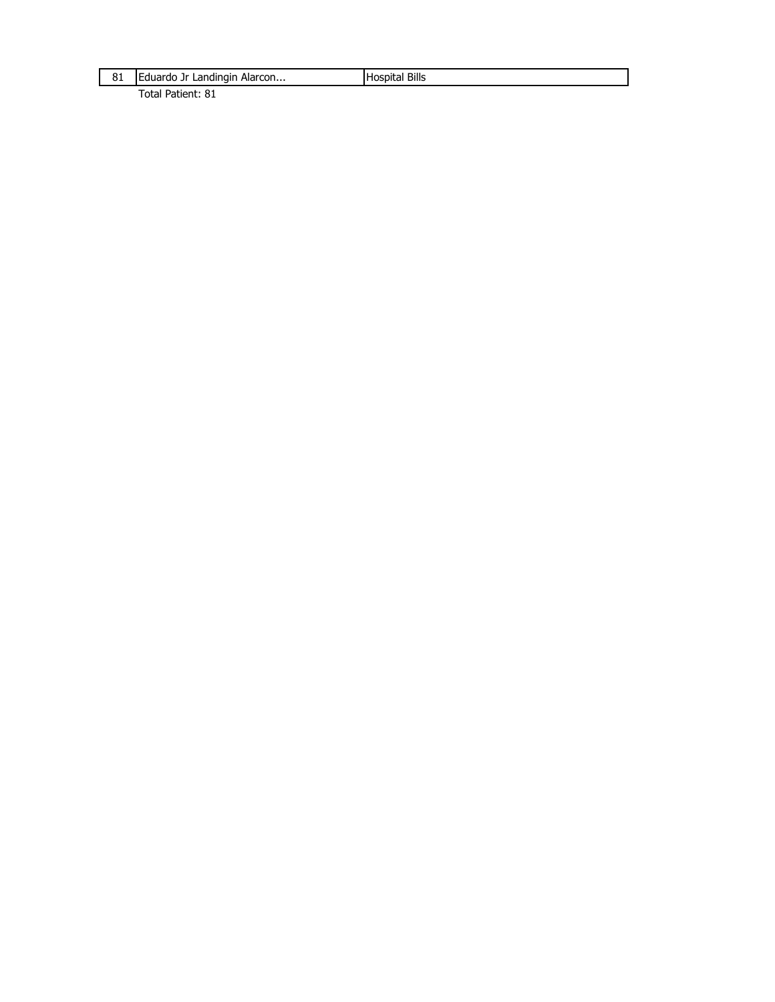| 81 | Eduardo Jr Landingin Alarcon | <b>Hospital Bills</b> |
|----|------------------------------|-----------------------|
|    |                              |                       |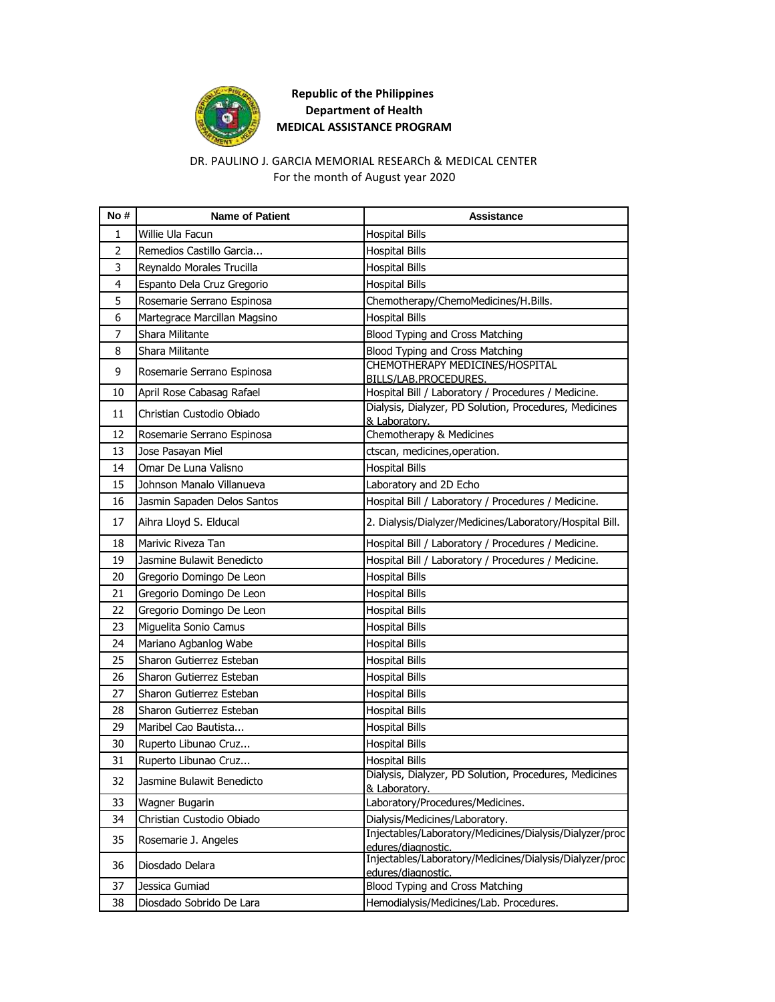

### DR. PAULINO J. GARCIA MEMORIAL RESEARCh & MEDICAL CENTER For the month of August year 2020

| No#            | <b>Name of Patient</b>       | Assistance                                                                                                    |
|----------------|------------------------------|---------------------------------------------------------------------------------------------------------------|
| 1              | Willie Ula Facun             | <b>Hospital Bills</b>                                                                                         |
| $\overline{2}$ | Remedios Castillo Garcia     | <b>Hospital Bills</b>                                                                                         |
| 3              | Reynaldo Morales Trucilla    | <b>Hospital Bills</b>                                                                                         |
| $\overline{4}$ | Espanto Dela Cruz Gregorio   | <b>Hospital Bills</b>                                                                                         |
| 5              | Rosemarie Serrano Espinosa   | Chemotherapy/ChemoMedicines/H.Bills.                                                                          |
| 6              | Martegrace Marcillan Magsino | <b>Hospital Bills</b>                                                                                         |
| $\overline{7}$ | Shara Militante              | Blood Typing and Cross Matching                                                                               |
| 8              | Shara Militante              | Blood Typing and Cross Matching                                                                               |
| 9              | Rosemarie Serrano Espinosa   | CHEMOTHERAPY MEDICINES/HOSPITAL                                                                               |
|                |                              | BILLS/LAB.PROCEDURES.                                                                                         |
| 10             | April Rose Cabasag Rafael    | Hospital Bill / Laboratory / Procedures / Medicine.<br>Dialysis, Dialyzer, PD Solution, Procedures, Medicines |
| 11             | Christian Custodio Obiado    | & Laboratory.                                                                                                 |
| 12             | Rosemarie Serrano Espinosa   | Chemotherapy & Medicines                                                                                      |
| 13             | Jose Pasayan Miel            | ctscan, medicines, operation.                                                                                 |
| 14             | Omar De Luna Valisno         | <b>Hospital Bills</b>                                                                                         |
| 15             | Johnson Manalo Villanueva    | Laboratory and 2D Echo                                                                                        |
| 16             | Jasmin Sapaden Delos Santos  | Hospital Bill / Laboratory / Procedures / Medicine.                                                           |
| 17             | Aihra Lloyd S. Elducal       | 2. Dialysis/Dialyzer/Medicines/Laboratory/Hospital Bill.                                                      |
| 18             | Marivic Riveza Tan           | Hospital Bill / Laboratory / Procedures / Medicine.                                                           |
| 19             | Jasmine Bulawit Benedicto    | Hospital Bill / Laboratory / Procedures / Medicine.                                                           |
| 20             | Gregorio Domingo De Leon     | <b>Hospital Bills</b>                                                                                         |
| 21             | Gregorio Domingo De Leon     | <b>Hospital Bills</b>                                                                                         |
| 22             | Gregorio Domingo De Leon     | <b>Hospital Bills</b>                                                                                         |
| 23             | Miguelita Sonio Camus        | <b>Hospital Bills</b>                                                                                         |
| 24             | Mariano Agbanlog Wabe        | <b>Hospital Bills</b>                                                                                         |
| 25             | Sharon Gutierrez Esteban     | <b>Hospital Bills</b>                                                                                         |
| 26             | Sharon Gutierrez Esteban     | <b>Hospital Bills</b>                                                                                         |
| 27             | Sharon Gutierrez Esteban     | <b>Hospital Bills</b>                                                                                         |
| 28             | Sharon Gutierrez Esteban     | <b>Hospital Bills</b>                                                                                         |
| 29             | Maribel Cao Bautista         | <b>Hospital Bills</b>                                                                                         |
| 30             | Ruperto Libunao Cruz         | <b>Hospital Bills</b>                                                                                         |
| 31             | Ruperto Libunao Cruz         | <b>Hospital Bills</b>                                                                                         |
| 32             | Jasmine Bulawit Benedicto    | Dialysis, Dialyzer, PD Solution, Procedures, Medicines<br>& Laboratory.                                       |
| 33             | Wagner Bugarin               | Laboratory/Procedures/Medicines.                                                                              |
| 34             | Christian Custodio Obiado    | Dialysis/Medicines/Laboratory.                                                                                |
| 35             | Rosemarie J. Angeles         | Injectables/Laboratory/Medicines/Dialysis/Dialyzer/proc<br>edures/diagnostic.                                 |
| 36             | Diosdado Delara              | Injectables/Laboratory/Medicines/Dialysis/Dialyzer/proc<br>edures/diagnostic.                                 |
| 37             | Jessica Gumiad               | Blood Typing and Cross Matching                                                                               |
| 38             | Diosdado Sobrido De Lara     | Hemodialysis/Medicines/Lab. Procedures.                                                                       |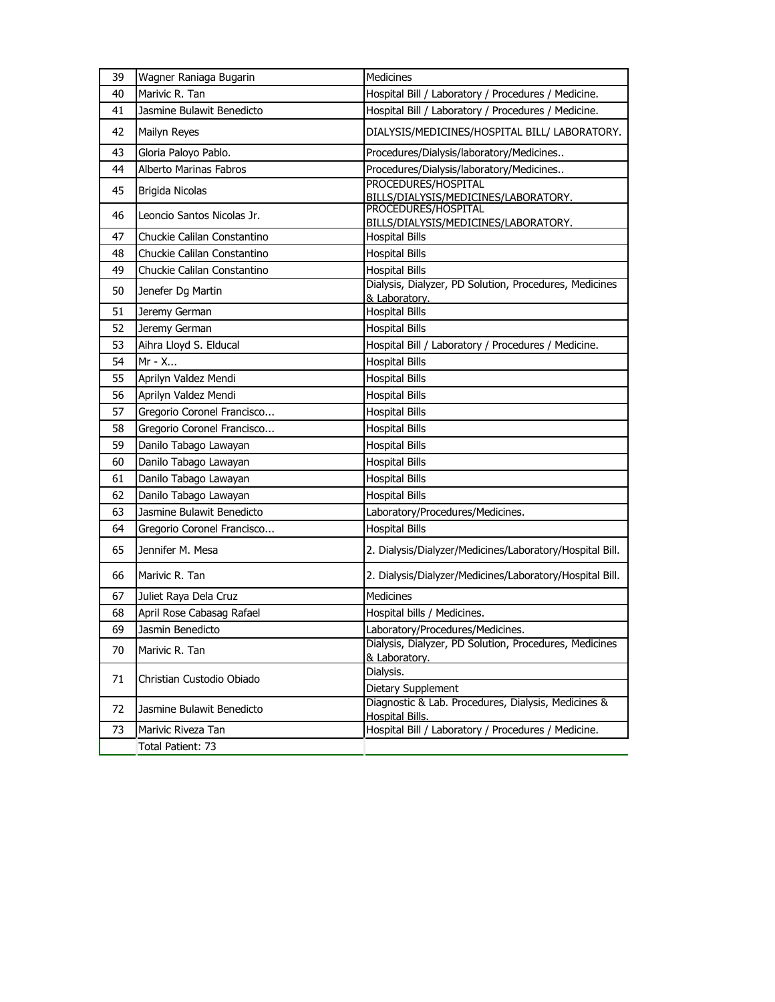| 39 | Wagner Raniaga Bugarin      | Medicines                                                                          |
|----|-----------------------------|------------------------------------------------------------------------------------|
| 40 | Marivic R. Tan              | Hospital Bill / Laboratory / Procedures / Medicine.                                |
| 41 | Jasmine Bulawit Benedicto   | Hospital Bill / Laboratory / Procedures / Medicine.                                |
| 42 | Mailyn Reyes                | DIALYSIS/MEDICINES/HOSPITAL BILL/ LABORATORY.                                      |
| 43 | Gloria Paloyo Pablo.        | Procedures/Dialysis/laboratory/Medicines                                           |
| 44 | Alberto Marinas Fabros      | Procedures/Dialysis/laboratory/Medicines                                           |
| 45 | Brigida Nicolas             | PROCEDURES/HOSPITAL<br>BILLS/DIALYSIS/MEDICINES/LABORATORY.<br>PROCEDURES/HOSPITAL |
| 46 | Leoncio Santos Nicolas Jr.  | BILLS/DIALYSIS/MEDICINES/LABORATORY.                                               |
| 47 | Chuckie Calilan Constantino | <b>Hospital Bills</b>                                                              |
| 48 | Chuckie Calilan Constantino | <b>Hospital Bills</b>                                                              |
| 49 | Chuckie Calilan Constantino | <b>Hospital Bills</b>                                                              |
| 50 | Jenefer Dg Martin           | Dialysis, Dialyzer, PD Solution, Procedures, Medicines<br>& Laboratory.            |
| 51 | Jeremy German               | <b>Hospital Bills</b>                                                              |
| 52 | Jeremy German               | <b>Hospital Bills</b>                                                              |
| 53 | Aihra Lloyd S. Elducal      | Hospital Bill / Laboratory / Procedures / Medicine.                                |
| 54 | Mr - X                      | <b>Hospital Bills</b>                                                              |
| 55 | Aprilyn Valdez Mendi        | <b>Hospital Bills</b>                                                              |
| 56 | Aprilyn Valdez Mendi        | <b>Hospital Bills</b>                                                              |
| 57 | Gregorio Coronel Francisco  | <b>Hospital Bills</b>                                                              |
| 58 | Gregorio Coronel Francisco  | <b>Hospital Bills</b>                                                              |
| 59 | Danilo Tabago Lawayan       | <b>Hospital Bills</b>                                                              |
| 60 | Danilo Tabago Lawayan       | <b>Hospital Bills</b>                                                              |
| 61 | Danilo Tabago Lawayan       | <b>Hospital Bills</b>                                                              |
| 62 | Danilo Tabago Lawayan       | <b>Hospital Bills</b>                                                              |
| 63 | Jasmine Bulawit Benedicto   | Laboratory/Procedures/Medicines.                                                   |
| 64 | Gregorio Coronel Francisco  | <b>Hospital Bills</b>                                                              |
| 65 | Jennifer M. Mesa            | 2. Dialysis/Dialyzer/Medicines/Laboratory/Hospital Bill.                           |
| 66 | Marivic R. Tan              | 2. Dialysis/Dialyzer/Medicines/Laboratory/Hospital Bill.                           |
| 67 | Juliet Raya Dela Cruz       | Medicines                                                                          |
| 68 | April Rose Cabasag Rafael   | Hospital bills / Medicines.                                                        |
| 69 | Jasmin Benedicto            | Laboratory/Procedures/Medicines.                                                   |
| 70 | Marivic R. Tan              | Dialysis, Dialyzer, PD Solution, Procedures, Medicines<br>& Laboratory.            |
|    |                             | Dialysis.                                                                          |
| 71 | Christian Custodio Obiado   | Dietary Supplement                                                                 |
| 72 | Jasmine Bulawit Benedicto   | Diagnostic & Lab. Procedures, Dialysis, Medicines &<br>Hospital Bills.             |
| 73 | Marivic Riveza Tan          | Hospital Bill / Laboratory / Procedures / Medicine.                                |
|    | Total Patient: 73           |                                                                                    |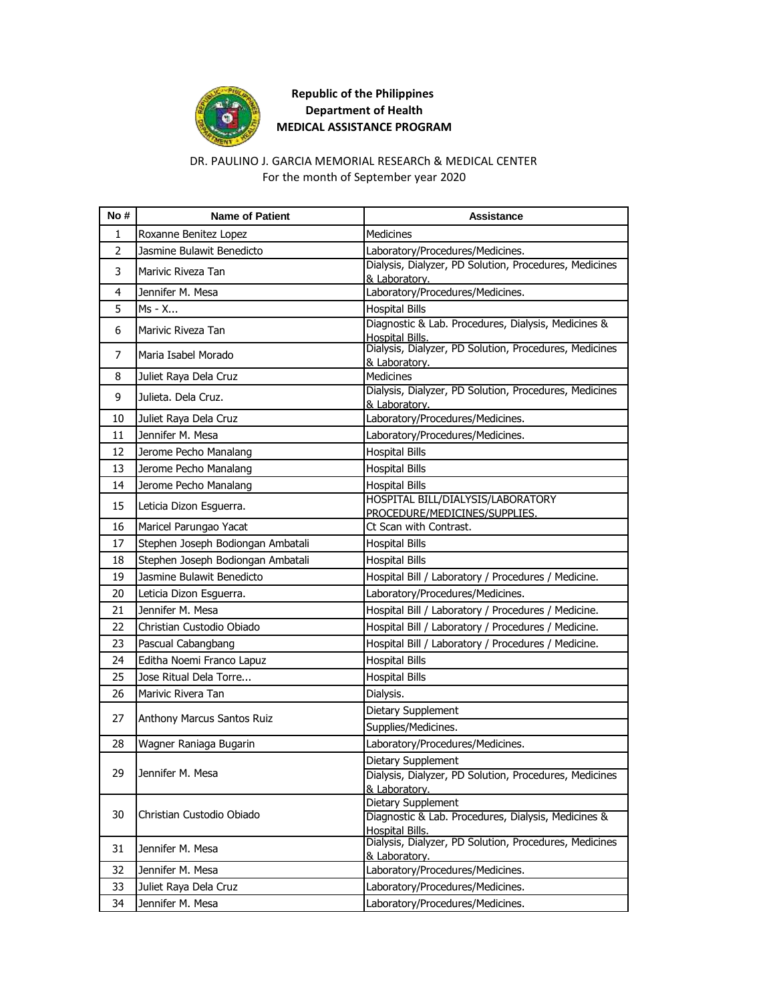

### DR. PAULINO J. GARCIA MEMORIAL RESEARCh & MEDICAL CENTER For the month of September year 2020

| No# | <b>Name of Patient</b>            | Assistance                                                              |
|-----|-----------------------------------|-------------------------------------------------------------------------|
| 1   | Roxanne Benitez Lopez             | <b>Medicines</b>                                                        |
| 2   | Jasmine Bulawit Benedicto         | Laboratory/Procedures/Medicines.                                        |
| 3   | Marivic Riveza Tan                | Dialysis, Dialyzer, PD Solution, Procedures, Medicines<br>& Laboratory. |
| 4   | Jennifer M. Mesa                  | Laboratory/Procedures/Medicines.                                        |
| 5   | Ms - X                            | <b>Hospital Bills</b>                                                   |
| 6   | Marivic Riveza Tan                | Diagnostic & Lab. Procedures, Dialysis, Medicines &<br>Hospital Bills.  |
| 7   | Maria Isabel Morado               | Dialysis, Dialyzer, PD Solution, Procedures, Medicines<br>& Laboratory. |
| 8   | Juliet Raya Dela Cruz             | Medicines                                                               |
| 9   | Julieta. Dela Cruz.               | Dialysis, Dialyzer, PD Solution, Procedures, Medicines<br>& Laboratory. |
| 10  | Juliet Raya Dela Cruz             | Laboratory/Procedures/Medicines.                                        |
| 11  | Jennifer M. Mesa                  | Laboratory/Procedures/Medicines.                                        |
| 12  | Jerome Pecho Manalang             | <b>Hospital Bills</b>                                                   |
| 13  | Jerome Pecho Manalang             | <b>Hospital Bills</b>                                                   |
| 14  | Jerome Pecho Manalang             | <b>Hospital Bills</b>                                                   |
| 15  | Leticia Dizon Esquerra.           | HOSPITAL BILL/DIALYSIS/LABORATORY<br>PROCEDURE/MEDICINES/SUPPLIES.      |
| 16  | Maricel Parungao Yacat            | Ct Scan with Contrast.                                                  |
| 17  | Stephen Joseph Bodiongan Ambatali | <b>Hospital Bills</b>                                                   |
| 18  | Stephen Joseph Bodiongan Ambatali | <b>Hospital Bills</b>                                                   |
| 19  | Jasmine Bulawit Benedicto         | Hospital Bill / Laboratory / Procedures / Medicine.                     |
| 20  | Leticia Dizon Esguerra.           | Laboratory/Procedures/Medicines.                                        |
| 21  | Jennifer M. Mesa                  | Hospital Bill / Laboratory / Procedures / Medicine.                     |
| 22  | Christian Custodio Obiado         | Hospital Bill / Laboratory / Procedures / Medicine.                     |
| 23  | Pascual Cabangbang                | Hospital Bill / Laboratory / Procedures / Medicine.                     |
| 24  | Editha Noemi Franco Lapuz         | <b>Hospital Bills</b>                                                   |
| 25  | Jose Ritual Dela Torre            | <b>Hospital Bills</b>                                                   |
| 26  | Marivic Rivera Tan                | Dialysis.                                                               |
| 27  | Anthony Marcus Santos Ruiz        | Dietary Supplement<br>Supplies/Medicines.                               |
| 28  | Wagner Raniaga Bugarin            | Laboratory/Procedures/Medicines.                                        |
|     |                                   | Dietary Supplement                                                      |
| 29  | Jennifer M. Mesa                  | Dialysis, Dialyzer, PD Solution, Procedures, Medicines                  |
|     |                                   | & Laboratory.                                                           |
| 30  | Christian Custodio Obiado         | Dietary Supplement                                                      |
|     |                                   | Diagnostic & Lab. Procedures, Dialysis, Medicines &<br>Hospital Bills.  |
| 31  | Jennifer M. Mesa                  | Dialysis, Dialyzer, PD Solution, Procedures, Medicines<br>& Laboratory. |
| 32  | Jennifer M. Mesa                  | Laboratory/Procedures/Medicines.                                        |
| 33  | Juliet Raya Dela Cruz             | Laboratory/Procedures/Medicines.                                        |
| 34  | Jennifer M. Mesa                  | Laboratory/Procedures/Medicines.                                        |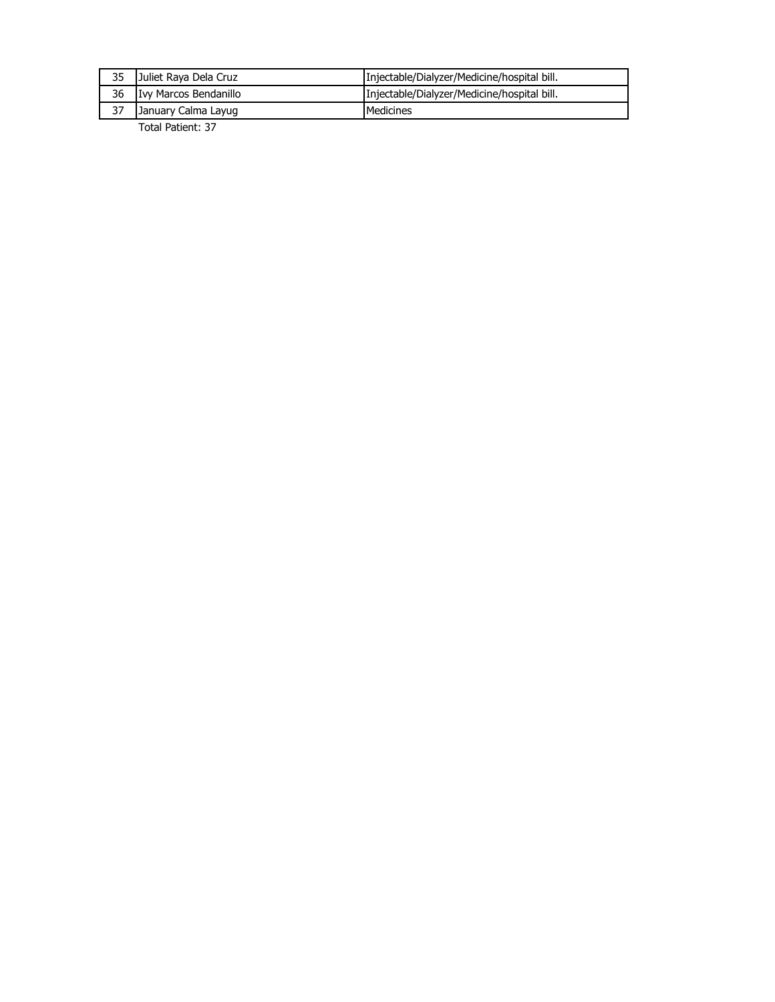| 35 | Juliet Raya Dela Cruz | Injectable/Dialyzer/Medicine/hospital bill. |
|----|-----------------------|---------------------------------------------|
| 36 | Ivy Marcos Bendanillo | Injectable/Dialyzer/Medicine/hospital bill. |
| 37 | January Calma Layug   | Medicines                                   |